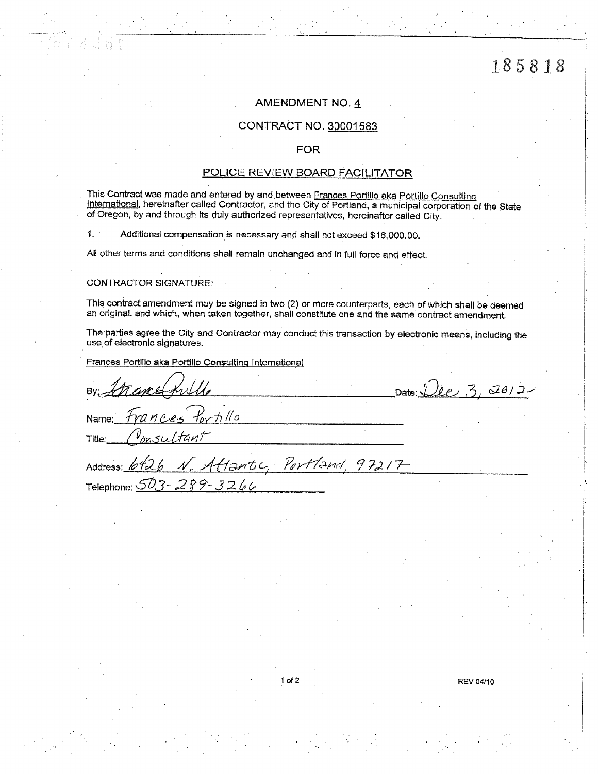# **AMENDMENT NO. 4**

### CONTRACT NO. 30001583

### **FOR**

# POLICE REVIEW BOARD FACILITATOR

This Contract was made and entered by and between Frances Portillo aka Portillo Consulting International, hereinafter called Contractor, and the City of Portland, a municipal corporation of the State of Oregon, by and through its duly authorized representatives, hereinafter called City.

 $1.$ Additional compensation is necessary and shall not exceed \$16,000,00.

All other terms and conditions shall remain unchanged and in full force and effect.

### **CONTRACTOR SIGNATURE:**

Telephone:  $\mathcal{S}\mathcal{O}_\omega$ 

This contract amendment may be signed in two (2) or more counterparts, each of which shall be deemed an original, and which, when taken together, shall constitute one and the same contract amendment.

The parties agree the City and Contractor may conduct this transaction by electronic means, including the use of electronic signatures.

Frances Portillo aka Portillo Consulting International

 $289 - 3266$ 

Date:  $Lle, 3, 20/2$ By:  $f_{\alpha}$  to  $\beta$  $MADc$ Name: Title: Atlantic, Portland,  $97217$ Address:

**REV 04/10**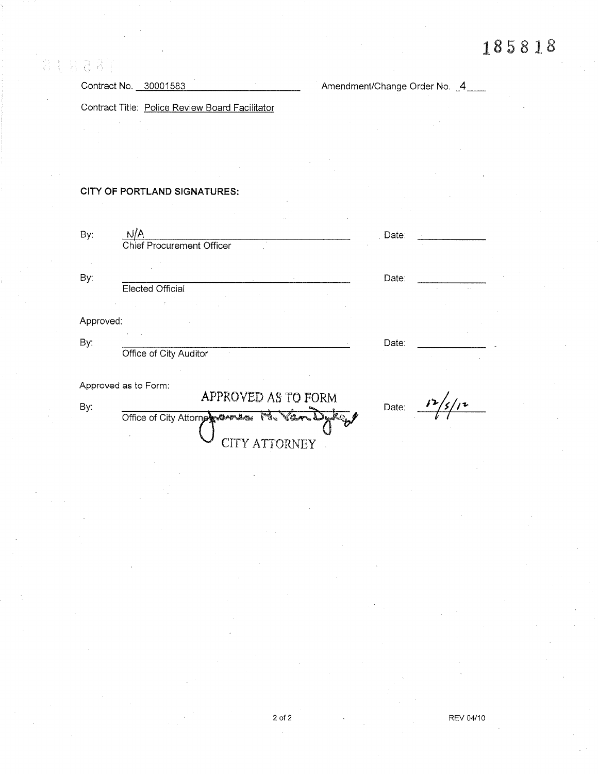Contract No. 30001583 **Amendment/Change Order No.** 4

Contract Title: Police Review Board Facilitator

# CITY OF PORTLAND SIGNATURES:

| By:       |                                                  | Date: |  |
|-----------|--------------------------------------------------|-------|--|
|           | <b>Chief Procurement Officer</b>                 |       |  |
|           |                                                  |       |  |
| By:       |                                                  | Date: |  |
|           | <b>Elected Official</b>                          |       |  |
|           |                                                  |       |  |
| Approved: |                                                  |       |  |
|           |                                                  |       |  |
| By:       | Office of City Auditor                           | Date: |  |
|           | Approved as to Form:                             |       |  |
| By:       | APPROVED AS TO FORM                              | Date: |  |
|           | $\frac{1}{2}$<br>Office of City Attorness Cheese |       |  |
|           |                                                  |       |  |
|           |                                                  |       |  |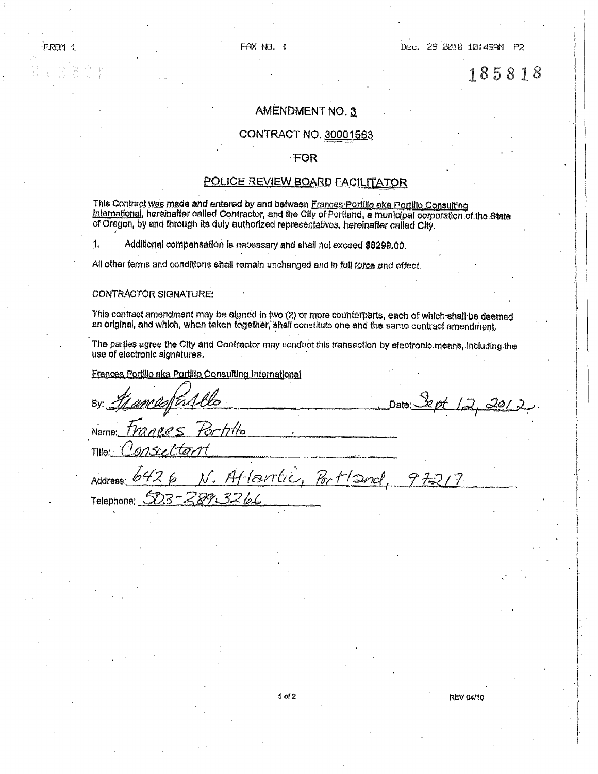# AMENDMENT NO. 3

## CONTRACT NO. 30001563

### FOR

### POLICE REVIEW BOARD FACILITATOR

This Contract was made and entered by and between Frances Portillo ake Portillo Consulting International, hereinafter called Contractor, and the City of Portland, a municipal corporation of the State of Oregon, by and through its duly authorized representatives, hereinafter called City.

 $\mathbf{1}$ Additional compensation is necessary and shall not exceed \$8299.00.

All other terms and conditions shall remain unchanged and in full force and effect.

### CONTRACTOR SIGNATURE:

**FROM:** 

This contract amendment may be signed in two (2) or more counterparts, each of which shall be deemed an original, and which, when taken together, shall constitute one and the same contract amendment,

The parties agree the City and Contractor may conduct this transaction by electronic means, including the use of electronic signatures.

Frances Portillo aka Portillo Consulting International

520 Date: Name: Title:

Atlantic, Portland 灯。  $97217$ Address: Telephone: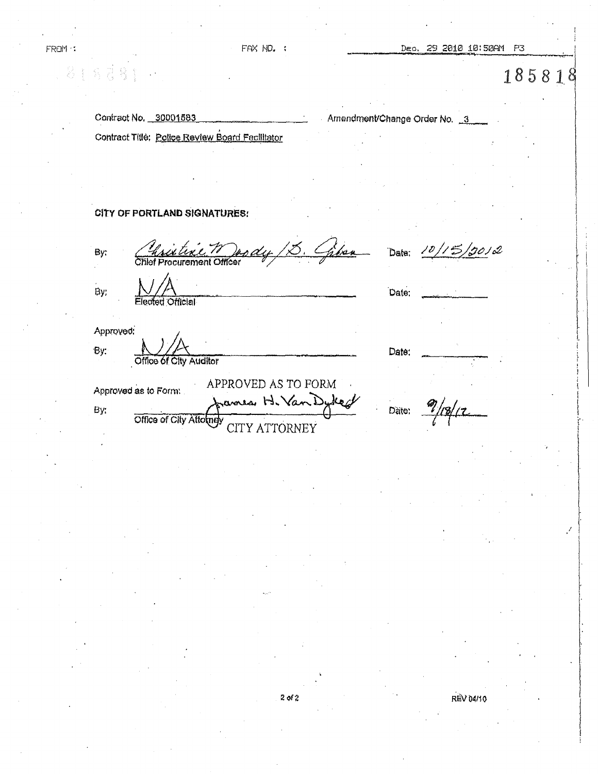Dec. 29 2010 10:50AM P3

185818

Contract No. 30001583 Contract Title: Police Review Board Fecilitator Amendment/Change Order No. 3

Date:

Date:

# CITY OF PORTLAND SIGNATURES:

By:

FROM :

**Procurement Officer** 

,7012 Date:

By:

Approved: By:

Office of City Auditor

**Official** 

APPROVED AS TO FORM Approved as to Form: sames H. Van Dykeck By: Office of City Attomay CITY ATTORNEY

 $\frac{9}{18}$ Dàte:

 $2$  of  $2$ 

**REV 04/10**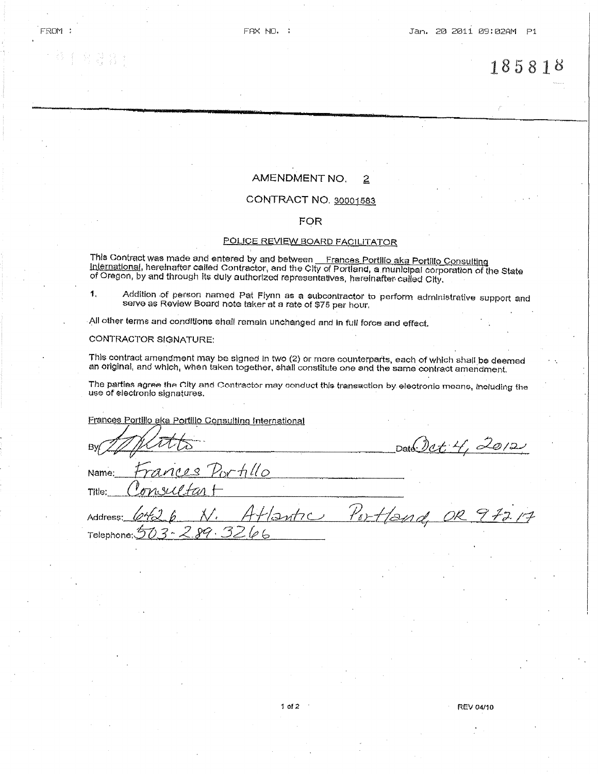#### AMENDMENT NO.  $\overline{2}$

# CONTRACT NO. 30001583

### **FOR**

### POLICE REVIEW BOARD FACILITATOR

This Contract was made and entered by and between \_\_Frances Portillo aka Portillo Consulting<br>International, hereinafter called Contractor, and the City of Portland, a municipal corporation of the State<br>of Oregon, by and th

Addition of person named Pat Flynn as a subcontractor to perform administrative support and 1, serve as Review Board note taker at a rate of \$75 per hour.

All other terms and conditions shall remain unchanged and in full force and effect.

### **CONTRACTOR SIGNATURE:**

This contract amendment may be signed in two (2) or more counterparts, each of which shall be deemed an original, and which, when taken together, shall constitute one and the same contract amendment.

The parties agree the City and Contractor may conduct this transaction by electronic means, including the use of electronic signatures.

Frances Portillo aka Portillo Consulting International

| By Mitts                                                                           | Date Det 4, 2012            |
|------------------------------------------------------------------------------------|-----------------------------|
| Name: Frances Portillo<br>Title: Consultar +                                       |                             |
| Address: $\varphi \sim 2$ $\varphi$ $\mathcal{N}$ .<br>$t$ dephone: $572.289.3266$ | Atlantic Portland, OR 97217 |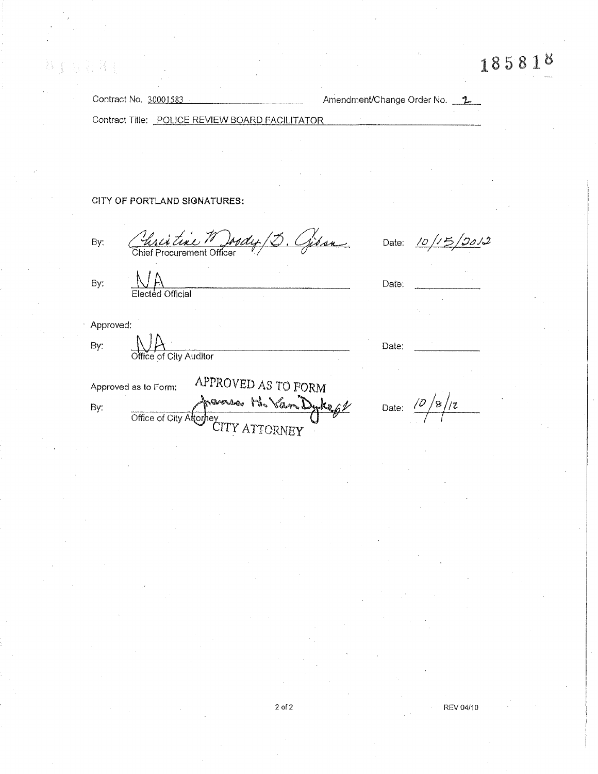Contract No. 30001583 Amendment/Change Order No. 1 Contract Title: POLICE REVIEW BOARD FACILITATOR CITY OF PORTLAND SIGNATURES: Christian Mody (3. Gisse Date:  $10/15/20/2$ By: By: Date: Elected Official Approved: By: Date: Office of City Auditor APPROVED AS TO FORM Approved as to Form: maria B. Van Dykept Date:  $\frac{\frac{1}{\sqrt{8}}}{2}$ Office of City Attorney<br>CITY ATTORNEY By:

ST 后来 RT

REV 04/10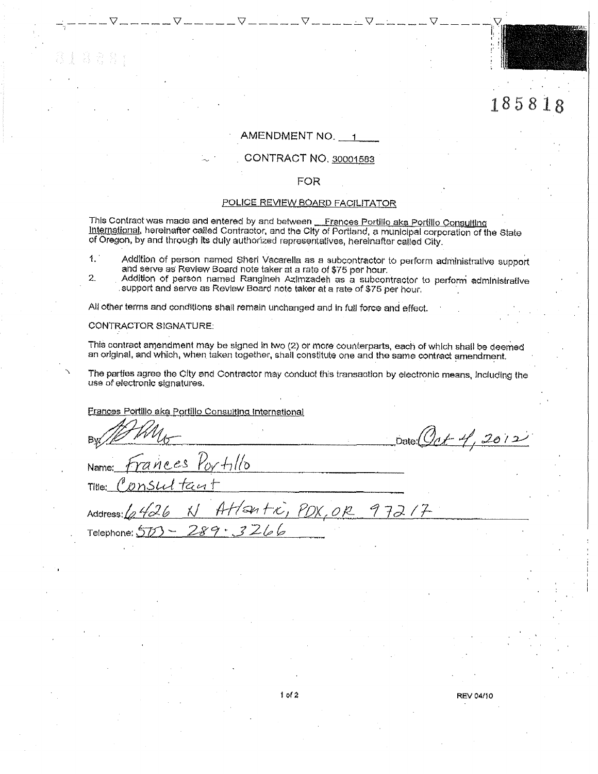# AMENDMENT NO. 1

 $\begin{picture}(180,10) \put(0,0){\line(1,0){10}} \put(10,0){\line(1,0){10}} \put(10,0){\line(1,0){10}} \put(10,0){\line(1,0){10}} \put(10,0){\line(1,0){10}} \put(10,0){\line(1,0){10}} \put(10,0){\line(1,0){10}} \put(10,0){\line(1,0){10}} \put(10,0){\line(1,0){10}} \put(10,0){\line(1,0){10}} \put(10,0){\line(1,0){10}} \put(10,0){\line($ 

# CONTRACT NO. 30001583

### **FOR**

# POLICE REVIEW BOARD FACILITATOR

This Contract was made and entered by and between Frances Portillo aka Portillo Consulting<br>International, hereinafter called Contractor, and the City of Portland, a municipal corporation of the State of Oregon, by and through its duly authorized representatives, hereinafter called City.

- $1.1$ Addition of person named Sheri Vacarella as a subcontractor to perform administrative support and serve as Review Board note taker at a rate of \$75 per hour.
- 2. Addition of person named Ranginen Azimzadeh as a subcontractor to perform administrative support and serve as Review Board note taker at a rate of \$75 per hour.

All other terms and conditions shall remain unchanged and in full force and effect.

### CONTRACTOR SIGNATURE:

This contract amendment may be signed in two (2) or more counterparts, each of which shall be deemed an original, and which, when taken together, shall constitute one and the same contract amendment.

The parties agree the City and Contractor may conduct this transaction by electronic means, including the use of electronic signatures.

Frances Portillo aka Portillo Consulting International

Date (Oct 4, 2012) ances Portillo Name:  $t$ cu t Title: Atlantic, PDX, OR 97217 X / Address:  $3266$ ファマ・ Telephone:

**REV 04/10** 

185818